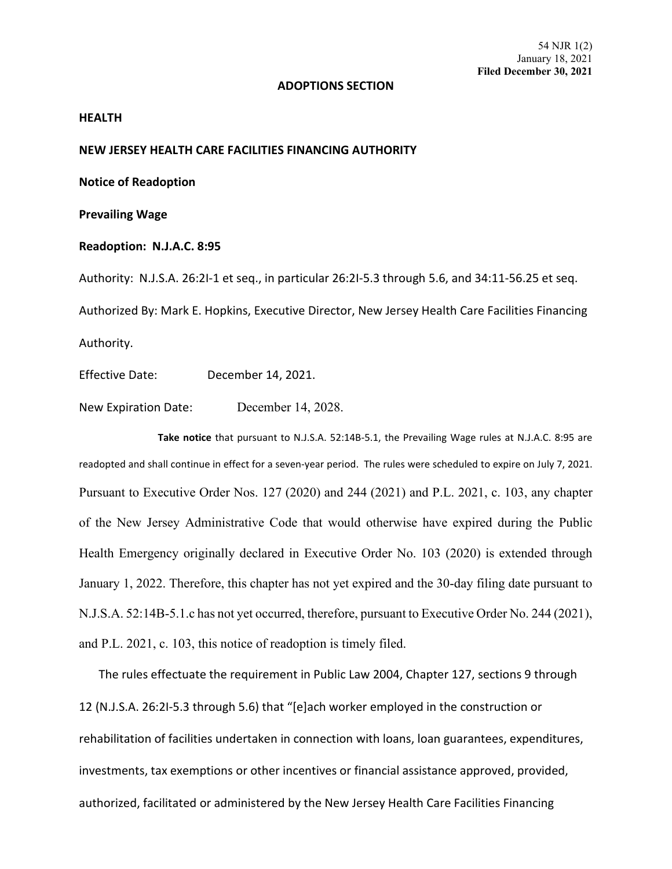## **ADOPTIONS SECTION**

## **HEALTH**

## **NEW JERSEY HEALTH CARE FACILITIES FINANCING AUTHORITY**

**Notice of Readoption**

**Prevailing Wage**

**Readoption: N.J.A.C. 8:95**

Authority: N.J.S.A. 26:2I-1 et seq., in particular 26:2I-5.3 through 5.6, and 34:11-56.25 et seq. Authorized By: Mark E. Hopkins, Executive Director, New Jersey Health Care Facilities Financing Authority.

Effective Date: December 14, 2021.

New Expiration Date: December 14, 2028.

**Take notice** that pursuant to N.J.S.A. 52:14B-5.1, the Prevailing Wage rules at N.J.A.C. 8:95 are readopted and shall continue in effect for a seven-year period. The rules were scheduled to expire on July 7, 2021. Pursuant to Executive Order Nos. 127 (2020) and 244 (2021) and P.L. 2021, c. 103, any chapter of the New Jersey Administrative Code that would otherwise have expired during the Public Health Emergency originally declared in Executive Order No. 103 (2020) is extended through January 1, 2022. Therefore, this chapter has not yet expired and the 30-day filing date pursuant to N.J.S.A. 52:14B-5.1.c has not yet occurred, therefore, pursuant to Executive Order No. 244 (2021), and P.L. 2021, c. 103, this notice of readoption is timely filed.

The rules effectuate the requirement in Public Law 2004, Chapter 127, sections 9 through 12 (N.J.S.A. 26:2I-5.3 through 5.6) that "[e]ach worker employed in the construction or rehabilitation of facilities undertaken in connection with loans, loan guarantees, expenditures, investments, tax exemptions or other incentives or financial assistance approved, provided, authorized, facilitated or administered by the New Jersey Health Care Facilities Financing